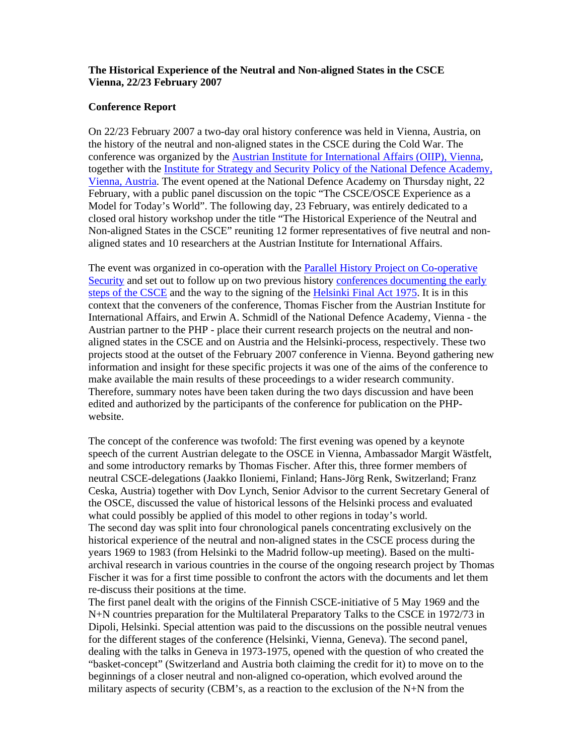## **The Historical Experience of the Neutral and Non-aligned States in the CSCE Vienna, 22/23 February 2007**

## **Conference Report**

On 22/23 February 2007 a two-day oral history conference was held in Vienna, Austria, on the history of the neutral and non-aligned states in the CSCE during the Cold War. The conference was organized by the **Austrian Institute for International Affairs (OIIP)**, Vienna, together with the Institute for Strategy and Security Policy of the National Defence Academy, Vienna, Austria. The event opened at the National Defence Academy on Thursday night, 22 February, with a public panel discussion on the topic "The CSCE/OSCE Experience as a Model for Today's World". The following day, 23 February, was entirely dedicated to a closed oral history workshop under the title "The Historical Experience of the Neutral and Non-aligned States in the CSCE" reuniting 12 former representatives of five neutral and nonaligned states and 10 researchers at the Austrian Institute for International Affairs.

The event was organized in co-operation with the Parallel History Project on Co-operative Security and set out to follow up on two previous history conferences documenting the early steps of the CSCE and the way to the signing of the Helsinki Final Act 1975. It is in this context that the conveners of the conference, Thomas Fischer from the Austrian Institute for International Affairs, and Erwin A. Schmidl of the National Defence Academy, Vienna - the Austrian partner to the PHP - place their current research projects on the neutral and nonaligned states in the CSCE and on Austria and the Helsinki-process, respectively. These two projects stood at the outset of the February 2007 conference in Vienna. Beyond gathering new information and insight for these specific projects it was one of the aims of the conference to make available the main results of these proceedings to a wider research community. Therefore, summary notes have been taken during the two days discussion and have been edited and authorized by the participants of the conference for publication on the PHPwebsite.

The concept of the conference was twofold: The first evening was opened by a keynote speech of the current Austrian delegate to the OSCE in Vienna, Ambassador Margit Wästfelt, and some introductory remarks by Thomas Fischer. After this, three former members of neutral CSCE-delegations (Jaakko Iloniemi, Finland; Hans-Jörg Renk, Switzerland; Franz Ceska, Austria) together with Dov Lynch, Senior Advisor to the current Secretary General of the OSCE, discussed the value of historical lessons of the Helsinki process and evaluated what could possibly be applied of this model to other regions in today's world. The second day was split into four chronological panels concentrating exclusively on the historical experience of the neutral and non-aligned states in the CSCE process during the years 1969 to 1983 (from Helsinki to the Madrid follow-up meeting). Based on the multiarchival research in various countries in the course of the ongoing research project by Thomas Fischer it was for a first time possible to confront the actors with the documents and let them re-discuss their positions at the time.

The first panel dealt with the origins of the Finnish CSCE-initiative of 5 May 1969 and the N+N countries preparation for the Multilateral Preparatory Talks to the CSCE in 1972/73 in Dipoli, Helsinki. Special attention was paid to the discussions on the possible neutral venues for the different stages of the conference (Helsinki, Vienna, Geneva). The second panel, dealing with the talks in Geneva in 1973-1975, opened with the question of who created the "basket-concept" (Switzerland and Austria both claiming the credit for it) to move on to the beginnings of a closer neutral and non-aligned co-operation, which evolved around the military aspects of security (CBM's, as a reaction to the exclusion of the  $N+N$  from the